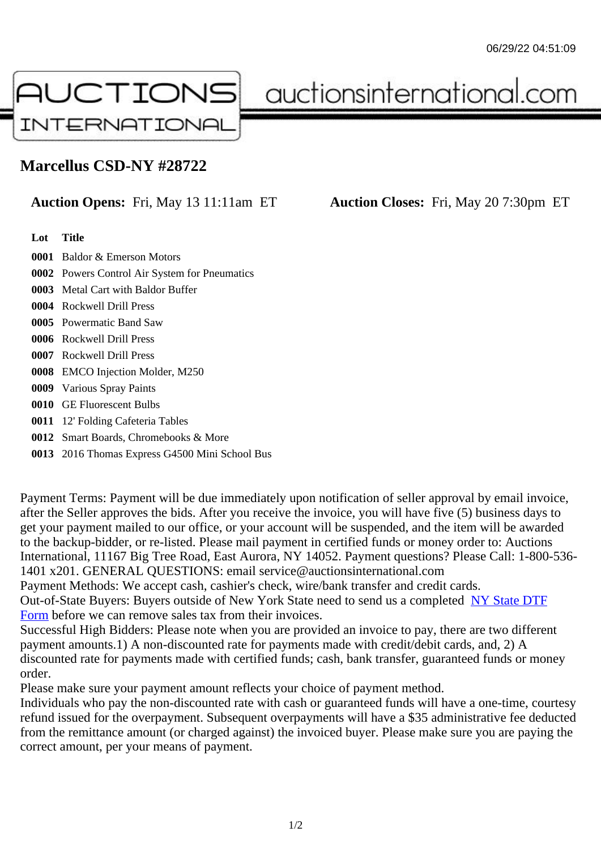## Marcellus CSD-NY #28722

## Auction Opens: Fri, May 13 11:11am ET Auction Closes: Fri, May 20 7:30pm ET

Lot Title

0001 Baldor & Emerson Motors

- 0002 Powers Control Air System for Pneumatics
- 0003 Metal Cart with Baldor Buffer
- 0004 Rockwell Drill Press
- 0005 Powermatic Band Saw
- 0006 Rockwell Drill Press
- 0007 Rockwell Drill Press
- 0008 EMCO Injection Molder, M250
- 0009 Various Spray Paints
- 0010 GE Fluorescent Bulbs
- 0011 12' Folding Cafeteria Tables
- 0012 Smart Boards, Chromebooks & More
- 0013 2016 Thomas Express G4500 Mini School Bus

Payment Terms: Payment will be due immediately upon notification of seller approval by email invoice, after the Seller approves the bids. After you receive the invoice, you will have five (5) business days to get your payment mailed to our office, or your account will be suspended, and the item will be awarded to the backup-bidder, or re-listed. Please mail payment in certified funds or money order to: Auctions International, 11167 Big Tree Road, East Aurora, NY 14052. Payment questions? Please Call: 1-800-53 1401 x201. GENERAL QUESTIONS: email service@auctionsinternational.com

Payment Methods: We accept cash, cashier's check, wire/bank transfer and credit cards.

Out-of-State Buyers: Buyers outside of New York State need to send us a com blestate DTF Form before we can remove sales tax from their invoices.

Successful High Bidders: Please note when you are provided an invoice to pay, there are two different payment amounts.1) A non-discounted rate for payments made with credit/de[bit cards, and](https://www.auctionsinternational.com/auxiliary/downloads/DTF_Form/dtf_fill_in.pdf), 2) A [disco](https://www.auctionsinternational.com/auxiliary/downloads/DTF_Form/dtf_fill_in.pdf)unted rate for payments made with certified funds; cash, bank transfer, guaranteed funds or money order.

Please make sure your payment amount reflects your choice of payment method.

Individuals who pay the non-discounted rate with cash or guaranteed funds will have a one-time, courte refund issued for the overpayment. Subsequent overpayments will have a \$35 administrative fee deduc from the remittance amount (or charged against) the invoiced buyer. Please make sure you are paying correct amount, per your means of payment.